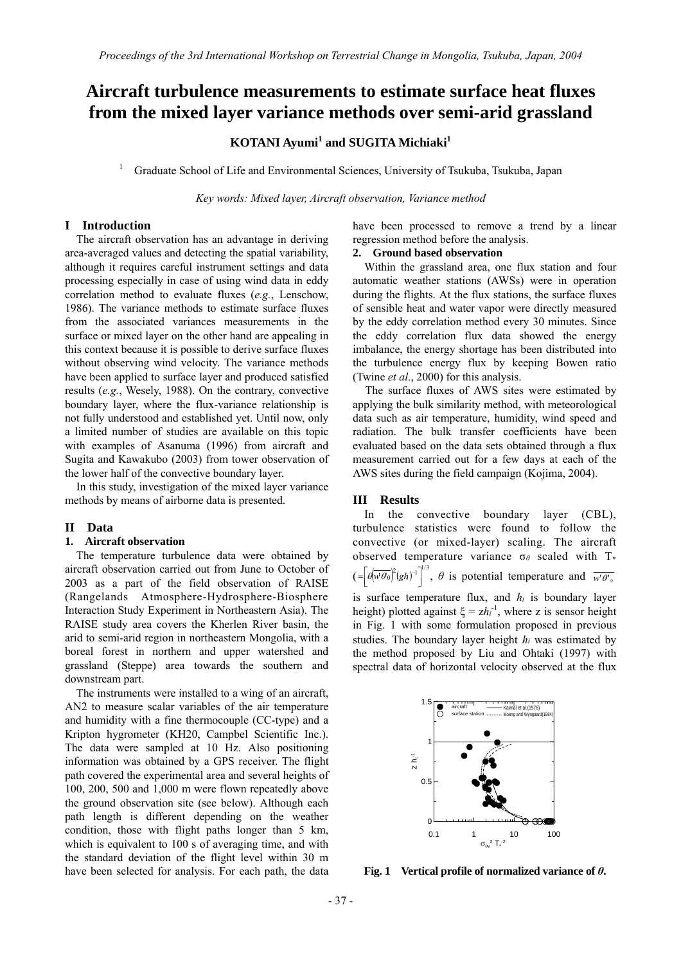# **Aircraft turbulence measurements to estimate surface heat fluxes from the mixed layer variance methods over semi-arid grassland**

# **KOTANI Ayumi<sup>1</sup> and SUGITA Michiaki<sup>1</sup>**

1 Graduate School of Life and Environmental Sciences, University of Tsukuba, Tsukuba, Japan

*Key words: Mixed layer, Aircraft observation, Variance method* 

# **I Introduction**

The aircraft observation has an advantage in deriving area-averaged values and detecting the spatial variability, although it requires careful instrument settings and data processing especially in case of using wind data in eddy correlation method to evaluate fluxes (*e.g.*, Lenschow, 1986). The variance methods to estimate surface fluxes from the associated variances measurements in the surface or mixed layer on the other hand are appealing in this context because it is possible to derive surface fluxes without observing wind velocity. The variance methods have been applied to surface layer and produced satisfied results (*e.g.*, Wesely, 1988). On the contrary, convective boundary layer, where the flux-variance relationship is not fully understood and established yet. Until now, only a limited number of studies are available on this topic with examples of Asanuma (1996) from aircraft and Sugita and Kawakubo (2003) from tower observation of the lower half of the convective boundary layer.

In this study, investigation of the mixed layer variance methods by means of airborne data is presented.

#### **II Data**

#### **1. Aircraft observation**

The temperature turbulence data were obtained by aircraft observation carried out from June to October of 2003 as a part of the field observation of RAISE (Rangelands Atmosphere-Hydrosphere-Biosphere Interaction Study Experiment in Northeastern Asia). The RAISE study area covers the Kherlen River basin, the arid to semi-arid region in northeastern Mongolia, with a boreal forest in northern and upper watershed and grassland (Steppe) area towards the southern and downstream part.

The instruments were installed to a wing of an aircraft, AN2 to measure scalar variables of the air temperature and humidity with a fine thermocouple (CC-type) and a Kripton hygrometer (KH20, Campbel Scientific Inc.). The data were sampled at 10 Hz. Also positioning information was obtained by a GPS receiver. The flight path covered the experimental area and several heights of 100, 200, 500 and 1,000 m were flown repeatedly above the ground observation site (see below). Although each path length is different depending on the weather condition, those with flight paths longer than 5 km, which is equivalent to 100 s of averaging time, and with the standard deviation of the flight level within 30 m have been selected for analysis. For each path, the data

have been processed to remove a trend by a linear regression method before the analysis.

### **2. Ground based observation**

Within the grassland area, one flux station and four automatic weather stations (AWSs) were in operation during the flights. At the flux stations, the surface fluxes of sensible heat and water vapor were directly measured by the eddy correlation method every 30 minutes. Since the eddy correlation flux data showed the energy imbalance, the energy shortage has been distributed into the turbulence energy flux by keeping Bowen ratio (Twine *et al*., 2000) for this analysis.

The surface fluxes of AWS sites were estimated by applying the bulk similarity method, with meteorological data such as air temperature, humidity, wind speed and radiation. The bulk transfer coefficients have been evaluated based on the data sets obtained through a flux measurement carried out for a few days at each of the AWS sites during the field campaign (Kojima, 2004).

#### **III Results**

 In the convective boundary layer (CBL), turbulence statistics were found to follow the convective (or mixed-layer) scaling. The aircraft observed temperature variance σ*<sup>θ</sup>* scaled with T\*  $(I = \left[ d \overline{w' \theta_0} \right]^2 (gh)^{-1} \Big]^{1/3}, \theta$  is potential temperature and  $\overline{w' \theta_0}$ is surface temperature flux, and  $h_i$  is boundary layer height) plotted against  $\xi = zh_i^{-1}$ , where z is sensor height in Fig. 1 with some formulation proposed in previous studies. The boundary layer height *hi* was estimated by the method proposed by Liu and Ohtaki (1997) with spectral data of horizontal velocity observed at the flux



**Fig. 1 Vertical profile of normalized variance of** *θ***.**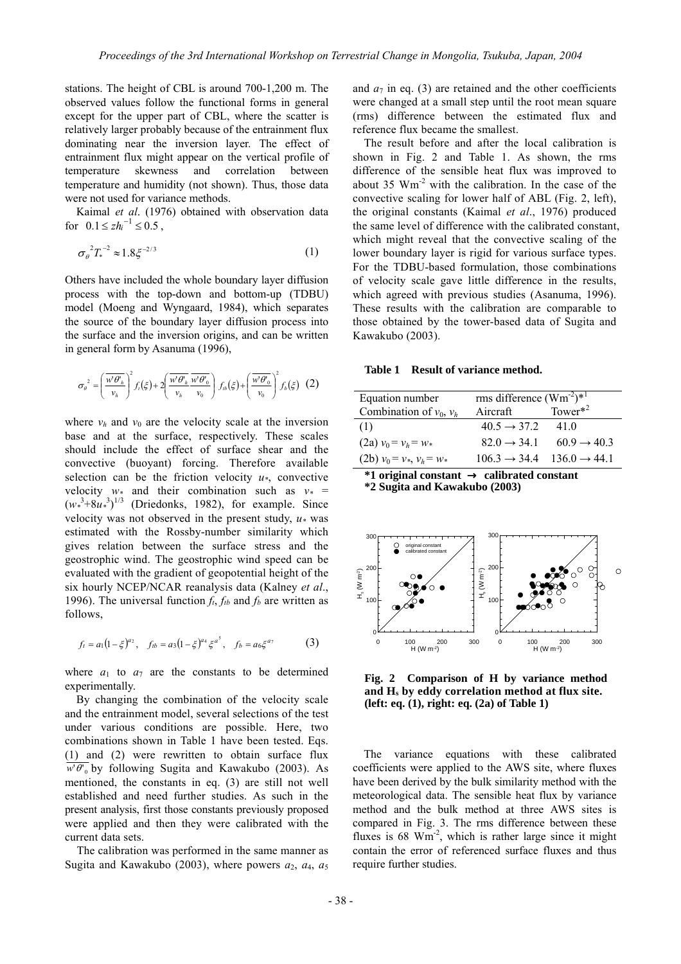stations. The height of CBL is around 700-1,200 m. The observed values follow the functional forms in general except for the upper part of CBL, where the scatter is relatively larger probably because of the entrainment flux dominating near the inversion layer. The effect of entrainment flux might appear on the vertical profile of temperature skewness and correlation between temperature and humidity (not shown). Thus, those data were not used for variance methods.

Kaimal *et al*. (1976) obtained with observation data for  $0.1 \leq z h_i^{-1} \leq 0.5$ ,

$$
\sigma_{\theta}^{2} T_{*}^{-2} \approx 1.8 \xi^{-2/3}
$$
 (1)

Others have included the whole boundary layer diffusion process with the top-down and bottom-up (TDBU) model (Moeng and Wyngaard, 1984), which separates the source of the boundary layer diffusion process into the surface and the inversion origins, and can be written in general form by Asanuma (1996),

$$
\sigma_{\theta}^{2} = \left(\frac{\overline{w'\theta'_{h}}}{v_{h}}\right)^{2} f_{i}(\xi) + 2\left(\frac{\overline{w'\theta'_{h}}}{v_{h}} \frac{\overline{w'\theta'_{0}}}{v_{0}}\right) f_{ib}(\xi) + \left(\frac{\overline{w'\theta'_{0}}}{v_{0}}\right)^{2} f_{b}(\xi) \quad (2)
$$

where  $v_h$  and  $v_0$  are the velocity scale at the inversion base and at the surface, respectively. These scales should include the effect of surface shear and the convective (buoyant) forcing. Therefore available selection can be the friction velocity *u\**, convective velocity  $w*$  and their combination such as  $v* =$  $(w^3 + 8u^3)^{1/3}$  (Driedonks, 1982), for example. Since velocity was not observed in the present study,  $u*$  was estimated with the Rossby-number similarity which gives relation between the surface stress and the geostrophic wind. The geostrophic wind speed can be evaluated with the gradient of geopotential height of the six hourly NCEP/NCAR reanalysis data (Kalney *et al*., 1996). The universal function  $f_t$ ,  $f_{tb}$  and  $f_b$  are written as follows,

$$
f_t = a_1(1-\xi)^{a_2}
$$
,  $f_{tb} = a_3(1-\xi)^{a_4}\xi^{a^5}$ ,  $f_b = a_6\xi^{a_7}$  (3)

where  $a_1$  to  $a_7$  are the constants to be determined experimentally.

 By changing the combination of the velocity scale and the entrainment model, several selections of the test under various conditions are possible. Here, two combinations shown in Table 1 have been tested. Eqs. (1) and (2) were rewritten to obtain surface flux  $\overline{w' \theta'}_0$  by following Sugita and Kawakubo (2003). As mentioned, the constants in eq. (3) are still not well established and need further studies. As such in the present analysis, first those constants previously proposed were applied and then they were calibrated with the current data sets.

 The calibration was performed in the same manner as Sugita and Kawakubo (2003), where powers  $a_2$ ,  $a_4$ ,  $a_5$  and  $a_7$  in eq. (3) are retained and the other coefficients were changed at a small step until the root mean square (rms) difference between the estimated flux and reference flux became the smallest.

The result before and after the local calibration is shown in Fig. 2 and Table 1. As shown, the rms difference of the sensible heat flux was improved to about 35 Wm-2 with the calibration. In the case of the convective scaling for lower half of ABL (Fig. 2, left), the original constants (Kaimal *et al*., 1976) produced the same level of difference with the calibrated constant, which might reveal that the convective scaling of the lower boundary layer is rigid for various surface types. For the TDBU-based formulation, those combinations of velocity scale gave little difference in the results, which agreed with previous studies (Asanuma, 1996). These results with the calibration are comparable to those obtained by the tower-based data of Sugita and Kawakubo (2003).

**Table 1 Result of variance method.** 

| Equation number               | rms difference $(\text{Wm}^2)^{*1}$ |                          |
|-------------------------------|-------------------------------------|--------------------------|
| Combination of $v_0$ , $v_h$  | Aircraft                            | Tower $*^2$              |
| (1)                           | $40.5 \rightarrow 37.2$             | 41.0                     |
| $(2a)$ $v_0 = v_h = w_*$      | $82.0 \rightarrow 34.1$             | $60.9 \rightarrow 40.3$  |
| $(2b)$ $v_0 = v_*, v_h = w_*$ | $106.3 \rightarrow 34.4$            | $136.0 \rightarrow 44.1$ |

**\*1 original constant** → **calibrated constant**

**\*2 Sugita and Kawakubo (2003)** 



**Fig. 2 Comparison of H by variance method and Hs by eddy correlation method at flux site. (left: eq. (1), right: eq. (2a) of Table 1)** 

The variance equations with these calibrated coefficients were applied to the AWS site, where fluxes have been derived by the bulk similarity method with the meteorological data. The sensible heat flux by variance method and the bulk method at three AWS sites is compared in Fig. 3. The rms difference between these fluxes is 68 Wm<sup>-2</sup>, which is rather large since it might contain the error of referenced surface fluxes and thus require further studies.